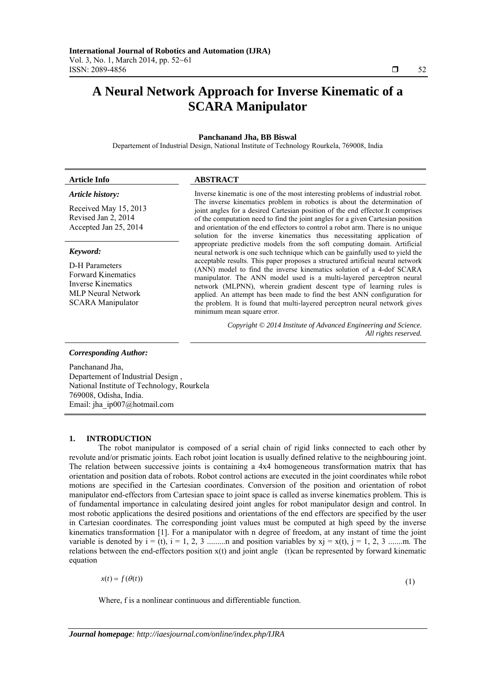# **A Neural Network Approach for Inverse Kinematic of a SCARA Manipulator**

# **Panchanand Jha, BB Biswal**

Departement of Industrial Design, National Institute of Technology Rourkela, 769008, India

# **Article Info ABSTRACT** *Article history:*

Received May 15, 2013 Revised Jan 2, 2014 Accepted Jan 25, 2014

#### *Keyword:*

D-H Parameters Forward Kinematics Inverse Kinematics MLP Neural Network SCARA Manipulator

Inverse kinematic is one of the most interesting problems of industrial robot. The inverse kinematics problem in robotics is about the determination of joint angles for a desired Cartesian position of the end effector.It comprises of the computation need to find the joint angles for a given Cartesian position and orientation of the end effectors to control a robot arm. There is no unique solution for the inverse kinematics thus necessitating application of appropriate predictive models from the soft computing domain. Artificial neural network is one such technique which can be gainfully used to yield the acceptable results. This paper proposes a structured artificial neural network (ANN) model to find the inverse kinematics solution of a 4-dof SCARA manipulator. The ANN model used is a multi-layered perceptron neural network (MLPNN), wherein gradient descent type of learning rules is applied. An attempt has been made to find the best ANN configuration for the problem. It is found that multi-layered perceptron neural network gives minimum mean square error.

> *Copyright © 2014 Institute of Advanced Engineering and Science. All rights reserved.*

#### *Corresponding Author:*

Panchanand Jha, Departement of Industrial Design , National Institute of Technology, Rourkela 769008, Odisha, India. Email: jha\_ip007@hotmail.com

#### **1. INTRODUCTION**

The robot manipulator is composed of a serial chain of rigid links connected to each other by revolute and/or prismatic joints. Each robot joint location is usually defined relative to the neighbouring joint. The relation between successive joints is containing a 4x4 homogeneous transformation matrix that has orientation and position data of robots. Robot control actions are executed in the joint coordinates while robot motions are specified in the Cartesian coordinates. Conversion of the position and orientation of robot manipulator end-effectors from Cartesian space to joint space is called as inverse kinematics problem. This is of fundamental importance in calculating desired joint angles for robot manipulator design and control. In most robotic applications the desired positions and orientations of the end effectors are specified by the user in Cartesian coordinates. The corresponding joint values must be computed at high speed by the inverse kinematics transformation [1]. For a manipulator with n degree of freedom, at any instant of time the joint variable is denoted by i = (t), i = 1, 2, 3 .........n and position variables by xj = x(t), j = 1, 2, 3 .......m. The relations between the end-effectors position x(t) and joint angle (t)can be represented by forward kinematic equation

 $x(t) = f(\theta(t))$ 

(1)

Where, f is a nonlinear continuous and differentiable function.

ֺֺ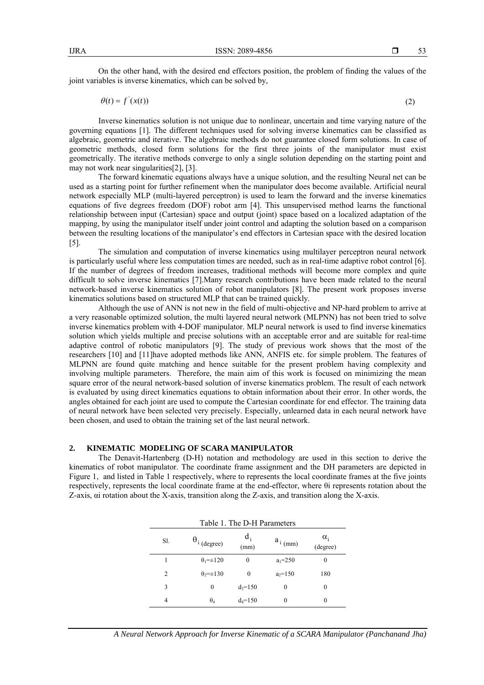On the other hand, with the desired end effectors position, the problem of finding the values of the joint variables is inverse kinematics, which can be solved by,

$$
\theta(t) = f'(x(t))\tag{2}
$$

Inverse kinematics solution is not unique due to nonlinear, uncertain and time varying nature of the governing equations [1]. The different techniques used for solving inverse kinematics can be classified as algebraic, geometric and iterative. The algebraic methods do not guarantee closed form solutions. In case of geometric methods, closed form solutions for the first three joints of the manipulator must exist geometrically. The iterative methods converge to only a single solution depending on the starting point and may not work near singularities[2], [3].

The forward kinematic equations always have a unique solution, and the resulting Neural net can be used as a starting point for further refinement when the manipulator does become available. Artificial neural network especially MLP (multi-layered perceptron) is used to learn the forward and the inverse kinematics equations of five degrees freedom (DOF) robot arm [4]. This unsupervised method learns the functional relationship between input (Cartesian) space and output (joint) space based on a localized adaptation of the mapping, by using the manipulator itself under joint control and adapting the solution based on a comparison between the resulting locations of the manipulator's end effectors in Cartesian space with the desired location [5].

The simulation and computation of inverse kinematics using multilayer perceptron neural network is particularly useful where less computation times are needed, such as in real-time adaptive robot control [6]. If the number of degrees of freedom increases, traditional methods will become more complex and quite difficult to solve inverse kinematics [7].Many research contributions have been made related to the neural network-based inverse kinematics solution of robot manipulators [8]. The present work proposes inverse kinematics solutions based on structured MLP that can be trained quickly.

Although the use of ANN is not new in the field of multi-objective and NP-hard problem to arrive at a very reasonable optimized solution, the multi layered neural network (MLPNN) has not been tried to solve inverse kinematics problem with 4-DOF manipulator. MLP neural network is used to find inverse kinematics solution which yields multiple and precise solutions with an acceptable error and are suitable for real-time adaptive control of robotic manipulators [9]. The study of previous work shows that the most of the researchers [10] and [11]have adopted methods like ANN, ANFIS etc. for simple problem. The features of MLPNN are found quite matching and hence suitable for the present problem having complexity and involving multiple parameters. Therefore, the main aim of this work is focused on minimizing the mean square error of the neural network-based solution of inverse kinematics problem. The result of each network is evaluated by using direct kinematics equations to obtain information about their error. In other words, the angles obtained for each joint are used to compute the Cartesian coordinate for end effector. The training data of neural network have been selected very precisely. Especially, unlearned data in each neural network have been chosen, and used to obtain the training set of the last neural network.

# **2. KINEMATIC MODELING OF SCARA MANIPULATOR**

The Denavit-Hartenberg (D-H) notation and methodology are used in this section to derive the kinematics of robot manipulator. The coordinate frame assignment and the DH parameters are depicted in Figure 1, and listed in Table 1 respectively, where to represents the local coordinate frames at the five joints respectively, represents the local coordinate frame at the end-effector, where θi represents rotation about the Z-axis, αi rotation about the X-axis, transition along the Z-axis, and transition along the X-axis.

| Table 1. The D-H Parameters |                                   |               |              |                        |  |  |
|-----------------------------|-----------------------------------|---------------|--------------|------------------------|--|--|
| Sl.                         | $\theta_i$ (degree)               | $d_i$<br>(mm) | $a_{i (mm)}$ | $\alpha_i$<br>(degree) |  |  |
|                             | $\theta_1 = \pm 120$              | $\theta$      | $a_1 = 250$  | $\theta$               |  |  |
| $\overline{c}$              | $\theta$ <sub>2</sub> = $\pm$ 130 | $\theta$      | $a_2=150$    | 180                    |  |  |
| 3                           | 0                                 | $d_3 = 150$   | 0            | $\theta$               |  |  |
| 4                           | $\theta_4$                        | $d_4 = 150$   | $\theta$     | 0                      |  |  |
|                             |                                   |               |              |                        |  |  |

*A Neural Network Approach for Inverse Kinematic of a SCARA Manipulator (Panchanand Jha)*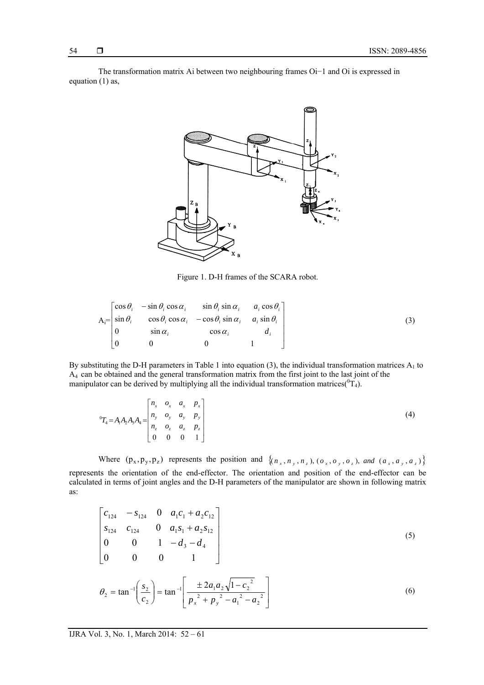The transformation matrix Ai between two neighbouring frames Oi−1 and Oi is expressed in equation (1) as,



Figure 1. D-H frames of the SCARA robot.

$$
A_i = \begin{bmatrix} \cos \theta_i & -\sin \theta_i \cos \alpha_i & \sin \theta_i \sin \alpha_i & a_i \cos \theta_i \\ \sin \theta_i & \cos \theta_i \cos \alpha_i & -\cos \theta_i \sin \alpha_i & a_i \sin \theta_i \\ 0 & \sin \alpha_i & \cos \alpha_i & d_i \\ 0 & 0 & 0 & 1 \end{bmatrix}
$$
(3)

manipulator can be derived by multiplying all the individual transformation matrices( ${}^{0}T_{4}$ ). By substituting the D-H parameters in Table 1 into equation (3), the individual transformation matrices  $A_1$  to A4 can be obtained and the general transformation matrix from the first joint to the last joint of the

$$
{}^{0}T_{4} = A_{1}A_{2}A_{3}A_{4} = \begin{bmatrix} n_{x} & o_{x} & a_{x} & p_{x} \\ n_{y} & o_{y} & a_{y} & p_{y} \\ n_{z} & o_{z} & a_{z} & p_{z} \\ 0 & 0 & 0 & 1 \end{bmatrix}
$$
 (4)

Where  $(p_x, p_y, p_z)$  represents the position and  $\{(n_x, n_y, n_z), (o_x, o_y, o_z), \text{ and } (a_x, a_y, a_z)\}\$ represents the orientation of the end-effector. The orientation and position of the end-effector can be calculated in terms of joint angles and the D-H parameters of the manipulator are shown in following matrix as:

$$
\begin{bmatrix} c_{124} & -s_{124} & 0 & a_1c_1 + a_2c_{12} \ s_{124} & c_{124} & 0 & a_1s_1 + a_2s_{12} \ 0 & 0 & 1 & -d_3 - d_4 \ 0 & 0 & 0 & 1 \end{bmatrix}
$$
 (5)

$$
\theta_2 = \tan^{-1}\left(\frac{s_2}{c_2}\right) = \tan^{-1}\left[\frac{\pm 2a_1a_2\sqrt{1 - {c_2}^2}}{p_x^2 + p_y^2 - a_1^2 - a_2^2}\right]
$$
(6)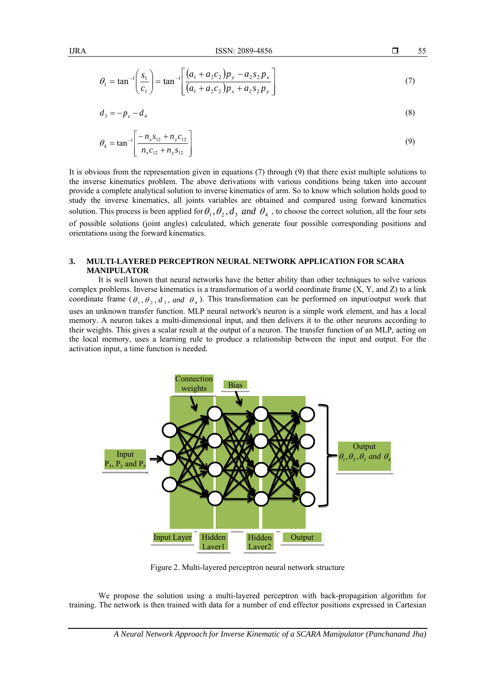$$
\theta_1 = \tan^{-1} \left( \frac{s_1}{c_1} \right) = \tan^{-1} \left[ \frac{\left( a_1 + a_2 c_2 \right) p_y - a_2 s_2 p_x}{\left( a_1 + a_2 c_2 \right) p_x + a_2 s_2 p_y} \right] \tag{7}
$$

$$
d_3 = -p_z - d_4 \tag{8}
$$

$$
\theta_4 = \tan^{-1} \left[ \frac{-n_x s_{12} + n_y c_{12}}{n_x c_{12} + n_y s_{12}} \right] \tag{9}
$$

It is obvious from the representation given in equations (7) through (9) that there exist multiple solutions to the inverse kinematics problem. The above derivations with various conditions being taken into account provide a complete analytical solution to inverse kinematics of arm. So to know which solution holds good to study the inverse kinematics, all joints variables are obtained and compared using forward kinematics solution. This process is been applied for  $\theta_1$ ,  $\theta_2$ ,  $d_3$  and  $\theta_4$ , to choose the correct solution, all the four sets of possible solutions (joint angles) calculated, which generate four possible corresponding positions and orientations using the forward kinematics.

# **3. MULTI-LAYERED PERCEPTRON NEURAL NETWORK APPLICATION FOR SCARA MANIPULATOR**

It is well known that neural networks have the better ability than other techniques to solve various complex problems. Inverse kinematics is a transformation of a world coordinate frame  $(X, Y, and Z)$  to a link coordinate frame  $(\theta_1, \theta_2, d_3, and \theta_4)$ . This transformation can be performed on input/output work that uses an unknown transfer function. MLP neural network's neuron is a simple work element, and has a local memory. A neuron takes a multi-dimensional input, and then delivers it to the other neurons according to their weights. This gives a scalar result at the output of a neuron. The transfer function of an MLP, acting on the local memory, uses a learning rule to produce a relationship between the input and output. For the activation input, a time function is needed.



Figure 2. Multi-layered perceptron neural network structure

We propose the solution using a multi-layered perceptron with back-propagation algorithm for training. The network is then trained with data for a number of end effector positions expressed in Cartesian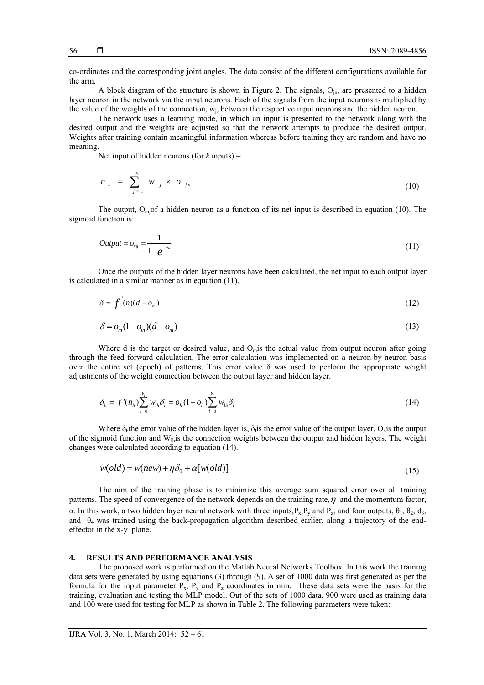co-ordinates and the corresponding joint angles. The data consist of the different configurations available for the arm.

A block diagram of the structure is shown in Figure 2. The signals,  $O_{\text{in}}$ , are presented to a hidden layer neuron in the network via the input neurons. Each of the signals from the input neurons is multiplied by the value of the weights of the connection,  $w_i$ , between the respective input neurons and the hidden neuron.

The network uses a learning mode, in which an input is presented to the network along with the desired output and the weights are adjusted so that the network attempts to produce the desired output. Weights after training contain meaningful information whereas before training they are random and have no meaning.

Net input of hidden neurons (for  $k$  inputs) =

$$
n_{h} = \sum_{j=1}^{k} w_{j} \times o_{jn} \tag{10}
$$

The output,  $O<sub>mi</sub>$  of a hidden neuron as a function of its net input is described in equation (10). The sigmoid function is:

$$
Output = o_{mj} = \frac{1}{1 + e^{-n_h}}
$$
\n(11)

Once the outputs of the hidden layer neurons have been calculated, the net input to each output layer is calculated in a similar manner as in equation (11).

$$
\delta = f(n)(d - o_m) \tag{12}
$$

$$
\delta = o_m(1 - o_m)(d - o_m) \tag{13}
$$

Where d is the target or desired value, and  $O<sub>m</sub>$  is the actual value from output neuron after going through the feed forward calculation. The error calculation was implemented on a neuron-by-neuron basis over the entire set (epoch) of patterns. This error value  $\delta$  was used to perform the appropriate weight adjustments of the weight connection between the output layer and hidden layer.

$$
\delta_h = f' (n_h) \sum_{l=0}^{k_l} w_{lh} \delta_l = o_h (1 - o_h) \sum_{l=0}^{k_l} w_{lh} \delta_l
$$
\n(14)

Where  $\delta_h$ the error value of the hidden layer is,  $\delta_l$ is the error value of the output layer, O<sub>h</sub>is the output of the sigmoid function and  $W_{\text{th}}$  is the connection weights between the output and hidden layers. The weight changes were calculated according to equation (14).

$$
w(old) = w(new) + \eta \delta_0 + \alpha [w(old)]
$$
\n(15)

The aim of the training phase is to minimize this average sum squared error over all training patterns. The speed of convergence of the network depends on the training rate,  $\eta$  and the momentum factor, α. In this work, a two hidden layer neural network with three inputs,  $P_x$ ,  $P_y$  and  $P_z$ , and four outputs,  $θ_1$ ,  $θ_2$ ,  $d_3$ , and  $\theta_4$  was trained using the back-propagation algorithm described earlier, along a trajectory of the endeffector in the x-y plane.

# **4. RESULTS AND PERFORMANCE ANALYSIS**

The proposed work is performed on the Matlab Neural Networks Toolbox. In this work the training data sets were generated by using equations (3) through (9). A set of 1000 data was first generated as per the formula for the input parameter  $P_x$ ,  $P_y$  and  $P_z$  coordinates in mm. These data sets were the basis for the training, evaluation and testing the MLP model. Out of the sets of 1000 data, 900 were used as training data and 100 were used for testing for MLP as shown in Table 2. The following parameters were taken: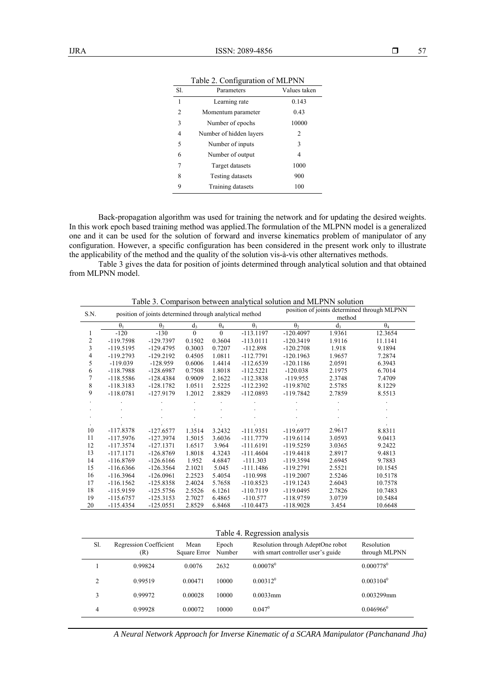| SI.            | Parameters              | Values taken |
|----------------|-------------------------|--------------|
| 1              | Learning rate           | 0.143        |
| $\overline{c}$ | Momentum parameter      | 0.43         |
| 3              | Number of epochs        | 10000        |
| 4              | Number of hidden layers | 2            |
| 5              | Number of inputs        | 3            |
| 6              | Number of output        | 4            |
| 7              | Target datasets         | 1000         |
| 8              | <b>Testing datasets</b> | 900          |
| 9              | Training datasets       | 100          |

Table 2. Configuration of MLPNN

Back-propagation algorithm was used for training the network and for updating the desired weights. In this work epoch based training method was applied.The formulation of the MLPNN model is a generalized one and it can be used for the solution of forward and inverse kinematics problem of manipulator of any configuration. However, a specific configuration has been considered in the present work only to illustrate the applicability of the method and the quality of the solution vis-à-vis other alternatives methods.

Table 3 gives the data for position of joints determined through analytical solution and that obtained from MLPNN model.

| S.N.         | position of joints determined through analytical method |             |          |            | position of joints determined through MLPNN |                       |                |            |
|--------------|---------------------------------------------------------|-------------|----------|------------|---------------------------------------------|-----------------------|----------------|------------|
|              |                                                         |             |          |            |                                             | method                |                |            |
|              | $\theta_1$                                              | $\theta_2$  | $d_3$    | $\theta_4$ | $\theta_1$                                  | $\theta$ <sub>2</sub> | d <sub>3</sub> | $\theta_4$ |
|              | $-120$                                                  | $-130$      | $\Omega$ | $\theta$   | $-113.1197$                                 | $-120.4097$           | 1.9361         | 12.3654    |
| $\mathbf{2}$ | $-119.7598$                                             | $-129.7397$ | 0.1502   | 0.3604     | $-113.0111$                                 | $-120.3419$           | 1.9116         | 11.1141    |
| 3            | $-119.5195$                                             | $-129.4795$ | 0.3003   | 0.7207     | $-112.898$                                  | $-120.2708$           | 1.918          | 9.1894     |
| 4            | $-119.2793$                                             | $-129.2192$ | 0.4505   | 1.0811     | $-112.7791$                                 | $-120.1963$           | 1.9657         | 7.2874     |
| 5            | $-119.039$                                              | $-128.959$  | 0.6006   | 1.4414     | $-112.6539$                                 | $-120.1186$           | 2.0591         | 6.3943     |
| 6            | $-118.7988$                                             | $-128.6987$ | 0.7508   | 1.8018     | $-112.5221$                                 | $-120.038$            | 2.1975         | 6.7014     |
| 7            | $-118.5586$                                             | $-128.4384$ | 0.9009   | 2.1622     | $-112.3838$                                 | $-119.955$            | 2.3748         | 7.4709     |
| $\,$ 8 $\,$  | $-118.3183$                                             | $-128.1782$ | 1.0511   | 2.5225     | $-112.2392$                                 | $-119.8702$           | 2.5785         | 8.1229     |
| 9            | $-118.0781$                                             | $-127.9179$ | 1.2012   | 2.8829     | $-112.0893$                                 | $-119.7842$           | 2.7859         | 8.5513     |
|              |                                                         |             |          |            |                                             |                       |                |            |
|              |                                                         |             |          |            |                                             |                       |                |            |
|              |                                                         |             |          |            |                                             |                       |                |            |
|              |                                                         |             |          |            |                                             |                       |                |            |
| 10           | $-117.8378$                                             | $-127.6577$ | 1.3514   | 3.2432     | $-111.9351$                                 | $-119.6977$           | 2.9617         | 8.8311     |
| 11           | $-117.5976$                                             | $-127.3974$ | 1.5015   | 3.6036     | $-111.7779$                                 | $-119.6114$           | 3.0593         | 9.0413     |
| 12           | $-117.3574$                                             | $-127.1371$ | 1.6517   | 3.964      | $-111.6191$                                 | $-119.5259$           | 3.0365         | 9.2422     |
| 13           | $-117.1171$                                             | $-126.8769$ | 1.8018   | 4.3243     | $-111.4604$                                 | $-119.4418$           | 2.8917         | 9.4813     |
| 14           | $-116.8769$                                             | $-126.6166$ | 1.952    | 4.6847     | $-111.303$                                  | $-119.3594$           | 2.6945         | 9.7883     |
| 15           | $-116.6366$                                             | $-126.3564$ | 2.1021   | 5.045      | $-111.1486$                                 | $-119.2791$           | 2.5521         | 10.1545    |
| 16           | $-116.3964$                                             | $-126.0961$ | 2.2523   | 5.4054     | $-110.998$                                  | $-119.2007$           | 2.5246         | 10.5178    |
| 17           | $-116.1562$                                             | $-125.8358$ | 2.4024   | 5.7658     | $-110.8523$                                 | $-119.1243$           | 2.6043         | 10.7578    |
| 18           | $-115.9159$                                             | $-125.5756$ | 2.5526   | 6.1261     | $-110.7119$                                 | $-119.0495$           | 2.7826         | 10.7483    |
| 19           | $-115.6757$                                             | $-125.3153$ | 2.7027   | 6.4865     | $-110.577$                                  | $-118.9759$           | 3.0739         | 10.5484    |
| 20           | $-115.4354$                                             | $-125.0551$ | 2.8529   | 6.8468     | $-110.4473$                                 | $-118.9028$           | 3.454          | 10.6648    |

Table 3. Comparison between analytical solution and MLPNN solution

Table 4. Regression analysis

| Sl. | <b>Regression Coefficient</b><br>(R) | Mean<br>Square Error | Epoch<br>Number | Resolution through AdeptOne robot<br>with smart controller user's guide | Resolution<br>through MLPNN |
|-----|--------------------------------------|----------------------|-----------------|-------------------------------------------------------------------------|-----------------------------|
|     | 0.99824                              | 0.0076               | 2632            | $0.00078^{\circ}$                                                       | $0.000778^0$                |
|     | 0.99519                              | 0.00471              | 10000           | $0.00312^0$                                                             | $0.003104^0$                |
|     | 0.99972                              | 0.00028              | 10000           | $0.0033$ mm                                                             | 0.003299mm                  |
| 4   | 0.99928                              | 0.00072              | 10000           | $0.047^0$                                                               | $0.046966^0$                |

*A Neural Network Approach for Inverse Kinematic of a SCARA Manipulator (Panchanand Jha)*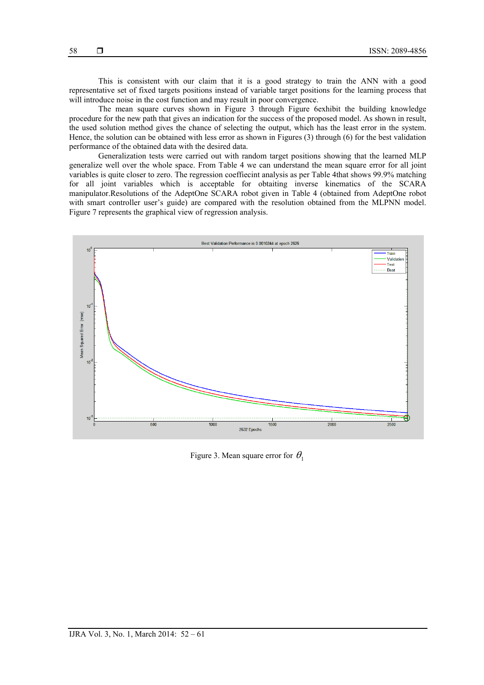This is consistent with our claim that it is a good strategy to train the ANN with a good representative set of fixed targets positions instead of variable target positions for the learning process that will introduce noise in the cost function and may result in poor convergence.

The mean square curves shown in Figure 3 through Figure 6exhibit the building knowledge procedure for the new path that gives an indication for the success of the proposed model. As shown in result, the used solution method gives the chance of selecting the output, which has the least error in the system. Hence, the solution can be obtained with less error as shown in Figures (3) through (6) for the best validation performance of the obtained data with the desired data.

Generalization tests were carried out with random target positions showing that the learned MLP generalize well over the whole space. From Table 4 we can understand the mean square error for all joint variables is quite closer to zero. The regression coeffiecint analysis as per Table 4that shows 99.9% matching for all joint variables which is acceptable for obtaiting inverse kinematics of the SCARA manipulator.Resolutions of the AdeptOne SCARA robot given in Table 4 (obtained from AdeptOne robot with smart controller user's guide) are compared with the resolution obtained from the MLPNN model. Figure 7 represents the graphical view of regression analysis.



Figure 3. Mean square error for  $\theta_1$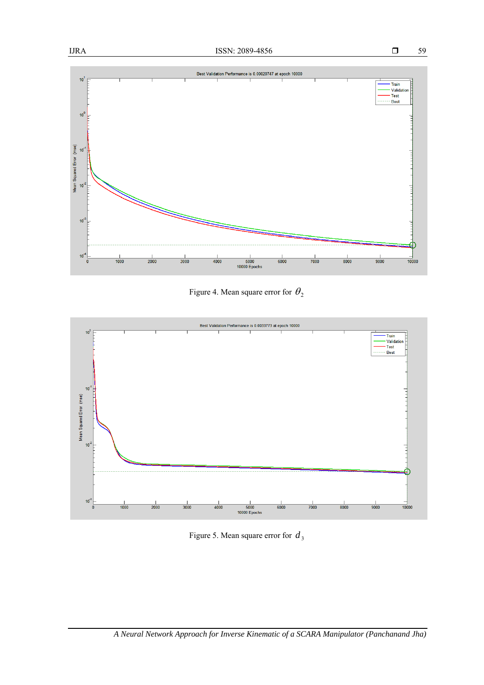59



Figure 4. Mean square error for  $\theta_2$ 



Figure 5. Mean square error for  $d_3$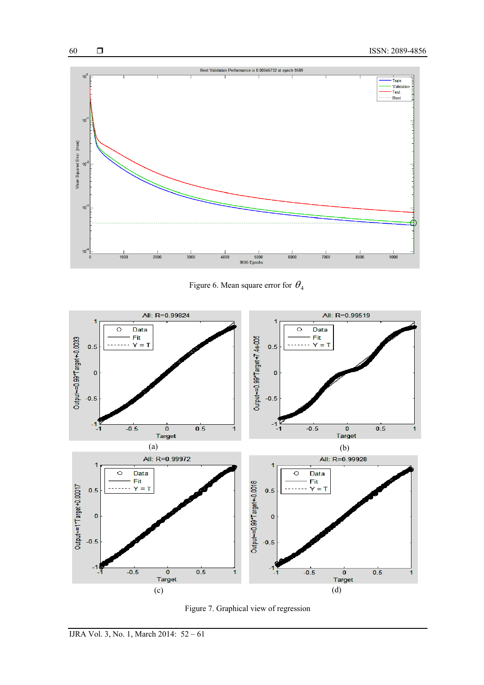